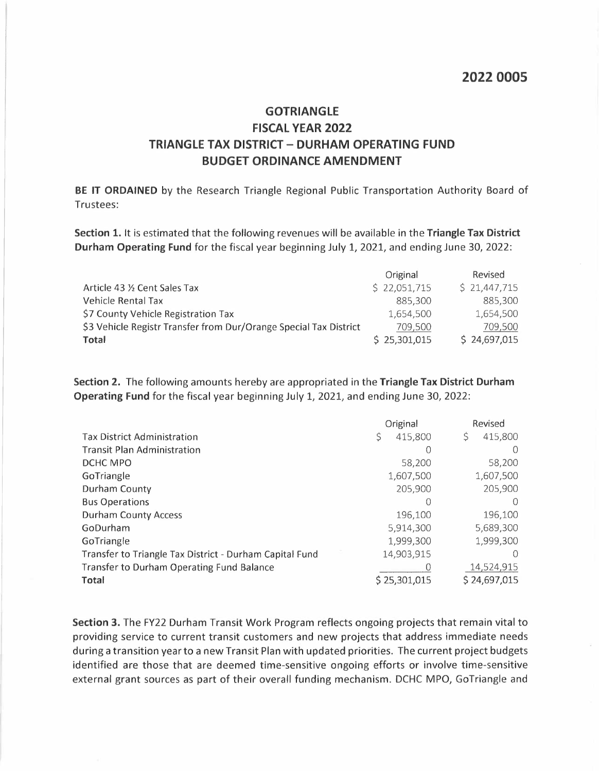## **GOTRIANGLE FISCAL YEAR 2022 TRIANGLE TAX DISTRICT- DURHAM OPERATING FUND BUDGET ORDINANCE AMENDMENT**

**BE IT ORDAINED** by the Research Triangle Regional Public Transportation Authority Board of Trustees:

**Section 1.** It is estimated that the following revenues will be available in the **Triangle Tax District Durham Operating Fund** for the fiscal year beginning July 1, 2021, and ending June 30, 2022:

|                                                                   | Original     | Revised      |
|-------------------------------------------------------------------|--------------|--------------|
| Article 43 % Cent Sales Tax                                       | \$22,051,715 | \$21,447,715 |
| Vehicle Rental Tax                                                | 885.300      | 885,300      |
| \$7 County Vehicle Registration Tax                               | 1.654.500    | 1,654,500    |
| \$3 Vehicle Registr Transfer from Dur/Orange Special Tax District | 709,500      | 709,500      |
| Total                                                             | \$25,301,015 | \$24,697,015 |

**Section 2.** The following amounts hereby are appropriated in the **Triangle Tax District Durham Operating Fund** for the fiscal year beginning July 1, 2021, and ending June 30, 2022:

|                                                         | Original      | Revised      |
|---------------------------------------------------------|---------------|--------------|
| <b>Tax District Administration</b>                      | \$<br>415,800 | 415,800      |
| <b>Transit Plan Administration</b>                      |               |              |
| DCHC MPO                                                | 58,200        | 58,200       |
| GoTriangle                                              | 1,607,500     | 1,607,500    |
| Durham County                                           | 205,900       | 205,900      |
| <b>Bus Operations</b>                                   |               |              |
| <b>Durham County Access</b>                             | 196,100       | 196,100      |
| GoDurham                                                | 5,914,300     | 5,689,300    |
| GoTriangle                                              | 1,999,300     | 1,999,300    |
| Transfer to Triangle Tax District - Durham Capital Fund | 14,903,915    |              |
| <b>Transfer to Durham Operating Fund Balance</b>        |               | 14,524,915   |
| <b>Total</b>                                            | \$25,301,015  | \$24,697,015 |

**Section 3.** The FY22 Durham Transit Work Program reflects ongoing projects that remain vital to providing service to current transit customers and new projects that address immediate needs during a transition year to a new Transit Plan with updated priorities. The current project budgets identified are those that are deemed time-sensitive ongoing efforts or involve time-sensitive external grant sources as part of their overall funding mechanism. DCHC MPO, GoTriangle and